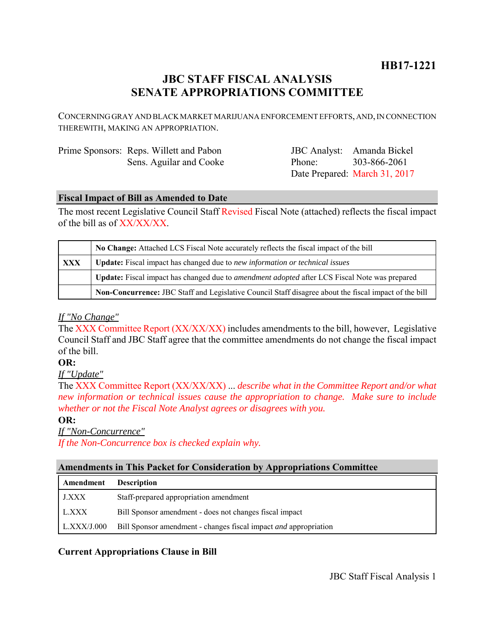## **HB17-1221**

# **JBC STAFF FISCAL ANALYSIS SENATE APPROPRIATIONS COMMITTEE**

CONCERNING GRAY AND BLACK MARKET MARIJUANA ENFORCEMENT EFFORTS, AND, IN CONNECTION THEREWITH, MAKING AN APPROPRIATION.

| Prime Sponsors: Reps. Willett and Pabon |
|-----------------------------------------|
| Sens. Aguilar and Cooke                 |

JBC Analyst: Amanda Bickel Phone: Date Prepared: March 31, 2017 303-866-2061

#### **Fiscal Impact of Bill as Amended to Date**

The most recent Legislative Council Staff Revised Fiscal Note (attached) reflects the fiscal impact of the bill as of XX/XX/XX.

|            | No Change: Attached LCS Fiscal Note accurately reflects the fiscal impact of the bill                 |  |
|------------|-------------------------------------------------------------------------------------------------------|--|
| <b>XXX</b> | <b>Update:</b> Fiscal impact has changed due to new information or technical issues                   |  |
|            | Update: Fiscal impact has changed due to <i>amendment adopted</i> after LCS Fiscal Note was prepared  |  |
|            | Non-Concurrence: JBC Staff and Legislative Council Staff disagree about the fiscal impact of the bill |  |

#### *If "No Change"*

The XXX Committee Report (XX/XX/XX) includes amendments to the bill, however, Legislative Council Staff and JBC Staff agree that the committee amendments do not change the fiscal impact of the bill.

### **OR:**

*If "Update"*

The XXX Committee Report (XX/XX/XX) ... *describe what in the Committee Report and/or what new information or technical issues cause the appropriation to change. Make sure to include whether or not the Fiscal Note Analyst agrees or disagrees with you.*

#### **OR:**

*If "Non-Concurrence"*

*If the Non-Concurrence box is checked explain why.* 

#### **Amendments in This Packet for Consideration by Appropriations Committee**

| Amendment   | <b>Description</b>                                               |
|-------------|------------------------------------------------------------------|
| J.XXX       | Staff-prepared appropriation amendment                           |
| L.XXX       | Bill Sponsor amendment - does not changes fiscal impact          |
| L.XXX/J.000 | Bill Sponsor amendment - changes fiscal impact and appropriation |

#### **Current Appropriations Clause in Bill**

JBC Staff Fiscal Analysis 1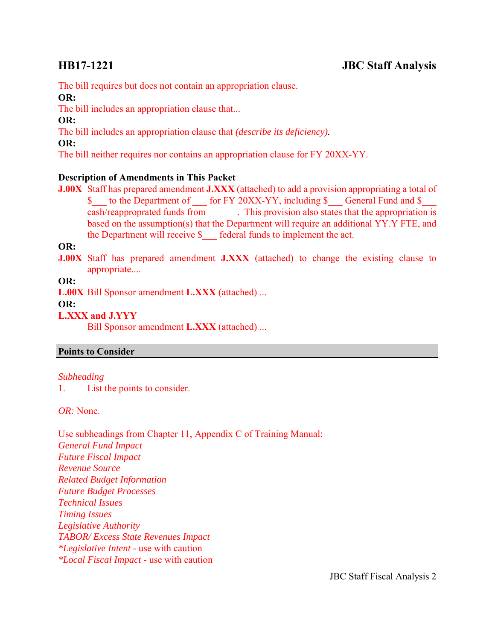The bill requires but does not contain an appropriation clause.

#### **OR:**

The bill includes an appropriation clause that...

#### **OR:**

The bill includes an appropriation clause that *(describe its deficiency).*

#### **OR:**

The bill neither requires nor contains an appropriation clause for FY 20XX-YY.

### **Description of Amendments in This Packet**

**J.00X** Staff has prepared amendment **J.XXX** (attached) to add a provision appropriating a total of \$ to the Department of for FY 20XX-YY, including \$ General Fund and \$ cash/reapproprated funds from . This provision also states that the appropriation is based on the assumption(s) that the Department will require an additional YY.Y FTE, and the Department will receive \$ \_\_\_ federal funds to implement the act.

**OR:**

**J.00X** Staff has prepared amendment **J.XXX** (attached) to change the existing clause to appropriate....

### **OR:**

**L.00X** Bill Sponsor amendment **L.XXX** (attached) ...

#### **OR:**

**L.XXX and J.YYY**

Bill Sponsor amendment **L.XXX** (attached) ...

### **Points to Consider**

### *Subheading*

1. List the points to consider.

*OR:* None.

Use subheadings from Chapter 11, Appendix C of Training Manual: *General Fund Impact Future Fiscal Impact Revenue Source Related Budget Information Future Budget Processes Technical Issues Timing Issues Legislative Authority TABOR/ Excess State Revenues Impact \*Legislative Intent -* use with caution *\*Local Fiscal Impact -* use with caution